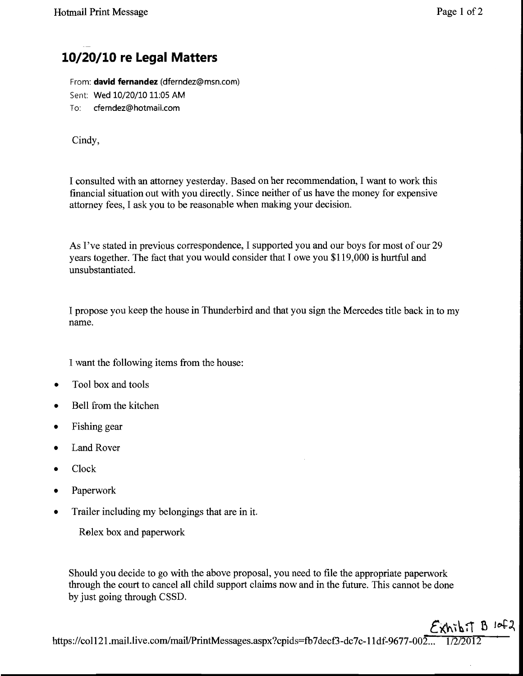[Dockets.Justia.com](http://dockets.justia.com/)

## **10/20/10 re Legal Matters**

From: **david fernandez** (dferndez@msn.com) Sent: Wed 10/20/10 11:05 AM To: cferndez@hotmail.com

Cindy,

I consulted with an attorney yesterday. Based on her recommendation, I want to work this financial situation out with you directly. Since neither of us have the money for expensive attorney fees, I ask you to be reasonable when making your decision.

As I've stated in previous correspondence, I supported you and our boys for most of our 29 years together. The fact that you would consider that I owe you \$119,000 is hurtful and unsubstantiated.

I propose you keep the house in Thunderbird and that you sign the Mercedes title back in to my name.

I want the following items from the house:

- Tool box and tools
- Bell from the kitchen
- Fishing gear
- Land Rover
- Clock
- Paperwork
- Trailer including my belongings that are in it.

Rolex box and paperwork

Should you decide to go with the above proposal, you need to file the appropriate paperwork through the court to cancel all child support claims now and in the future. This cannot be done by just going through CSSD.

 $\epsilon$ xhibit B 10f2 https://col121.mail.live.com/mail/PrintMessages.aspx?cpids=fb7decf3-dc7c-11df-9677-002...